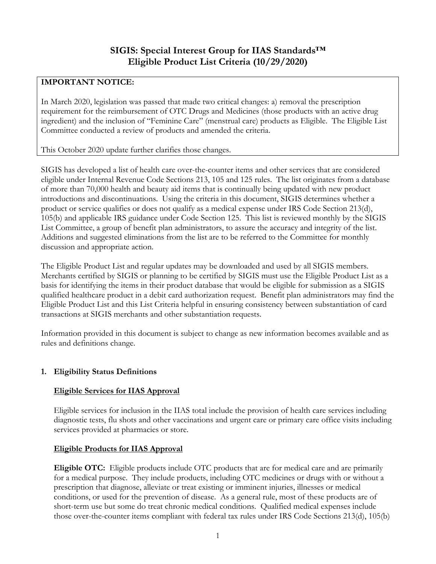# **IMPORTANT NOTICE:**

In March 2020, legislation was passed that made two critical changes: a) removal the prescription requirement for the reimbursement of OTC Drugs and Medicines (those products with an active drug ingredient) and the inclusion of "Feminine Care" (menstrual care) products as Eligible. The Eligible List Committee conducted a review of products and amended the criteria.

This October 2020 update further clarifies those changes.

SIGIS has developed a list of health care over-the-counter items and other services that are considered eligible under Internal Revenue Code Sections 213, 105 and 125 rules. The list originates from a database of more than 70,000 health and beauty aid items that is continually being updated with new product introductions and discontinuations. Using the criteria in this document, SIGIS determines whether a product or service qualifies or does not qualify as a medical expense under IRS Code Section 213(d), 105(b) and applicable IRS guidance under Code Section 125. This list is reviewed monthly by the SIGIS List Committee, a group of benefit plan administrators, to assure the accuracy and integrity of the list. Additions and suggested eliminations from the list are to be referred to the Committee for monthly discussion and appropriate action.

The Eligible Product List and regular updates may be downloaded and used by all SIGIS members. Merchants certified by SIGIS or planning to be certified by SIGIS must use the Eligible Product List as a basis for identifying the items in their product database that would be eligible for submission as a SIGIS qualified healthcare product in a debit card authorization request. Benefit plan administrators may find the Eligible Product List and this List Criteria helpful in ensuring consistency between substantiation of card transactions at SIGIS merchants and other substantiation requests.

Information provided in this document is subject to change as new information becomes available and as rules and definitions change.

# **1. Eligibility Status Definitions**

# **Eligible Services for IIAS Approval**

Eligible services for inclusion in the IIAS total include the provision of health care services including diagnostic tests, flu shots and other vaccinations and urgent care or primary care office visits including services provided at pharmacies or store.

## **Eligible Products for IIAS Approval**

**Eligible OTC:** Eligible products include OTC products that are for medical care and are primarily for a medical purpose. They include products, including OTC medicines or drugs with or without a prescription that diagnose, alleviate or treat existing or imminent injuries, illnesses or medical conditions, or used for the prevention of disease. As a general rule, most of these products are of short-term use but some do treat chronic medical conditions. Qualified medical expenses include those over-the-counter items compliant with federal tax rules under IRS Code Sections 213(d), 105(b)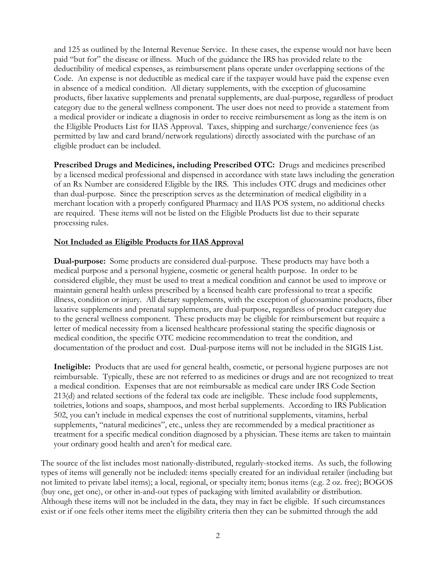and 125 as outlined by the Internal Revenue Service. In these cases, the expense would not have been paid "but for" the disease or illness. Much of the guidance the IRS has provided relate to the deductibility of medical expenses, as reimbursement plans operate under overlapping sections of the Code. An expense is not deductible as medical care if the taxpayer would have paid the expense even in absence of a medical condition. All dietary supplements, with the exception of glucosamine products, fiber laxative supplements and prenatal supplements, are dual-purpose, regardless of product category due to the general wellness component. The user does not need to provide a statement from a medical provider or indicate a diagnosis in order to receive reimbursement as long as the item is on the Eligible Products List for IIAS Approval. Taxes, shipping and surcharge/convenience fees (as permitted by law and card brand/network regulations) directly associated with the purchase of an eligible product can be included.

**Prescribed Drugs and Medicines, including Prescribed OTC:** Drugs and medicines prescribed by a licensed medical professional and dispensed in accordance with state laws including the generation of an Rx Number are considered Eligible by the IRS. This includes OTC drugs and medicines other than dual-purpose. Since the prescription serves as the determination of medical eligibility in a merchant location with a properly configured Pharmacy and IIAS POS system, no additional checks are required. These items will not be listed on the Eligible Products list due to their separate processing rules.

### **Not Included as Eligible Products for IIAS Approval**

**Dual-purpose:** Some products are considered dual-purpose. These products may have both a medical purpose and a personal hygiene, cosmetic or general health purpose. In order to be considered eligible, they must be used to treat a medical condition and cannot be used to improve or maintain general health unless prescribed by a licensed health care professional to treat a specific illness, condition or injury. All dietary supplements, with the exception of glucosamine products, fiber laxative supplements and prenatal supplements, are dual-purpose, regardless of product category due to the general wellness component. These products may be eligible for reimbursement but require a letter of medical necessity from a licensed healthcare professional stating the specific diagnosis or medical condition, the specific OTC medicine recommendation to treat the condition, and documentation of the product and cost. Dual-purpose items will not be included in the SIGIS List.

**Ineligible:** Products that are used for general health, cosmetic, or personal hygiene purposes are not reimbursable. Typically, these are not referred to as medicines or drugs and are not recognized to treat a medical condition. Expenses that are not reimbursable as medical care under IRS Code Section 213(d) and related sections of the federal tax code are ineligible. These include food supplements, toiletries, lotions and soaps, shampoos, and most herbal supplements. According to IRS Publication 502, you can't include in medical expenses the cost of nutritional supplements, vitamins, herbal supplements, "natural medicines", etc., unless they are recommended by a medical practitioner as treatment for a specific medical condition diagnosed by a physician. These items are taken to maintain your ordinary good health and aren't for medical care.

The source of the list includes most nationally-distributed, regularly-stocked items. As such, the following types of items will generally not be included: items specially created for an individual retailer (including but not limited to private label items); a local, regional, or specialty item; bonus items (e.g. 2 oz. free); BOGOS (buy one, get one), or other in-and-out types of packaging with limited availability or distribution. Although these items will not be included in the data, they may in fact be eligible. If such circumstances exist or if one feels other items meet the eligibility criteria then they can be submitted through the add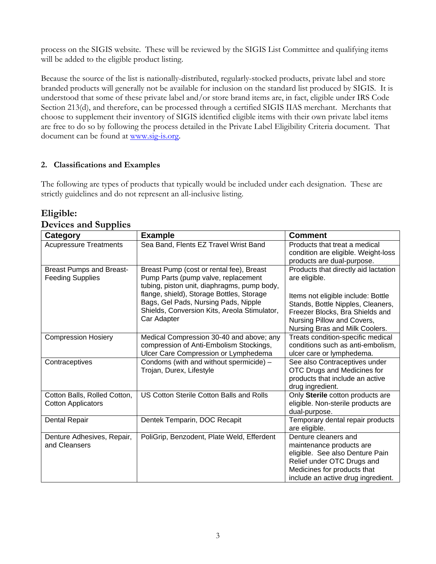process on the SIGIS website. These will be reviewed by the SIGIS List Committee and qualifying items will be added to the eligible product listing.

Because the source of the list is nationally-distributed, regularly-stocked products, private label and store branded products will generally not be available for inclusion on the standard list produced by SIGIS. It is understood that some of these private label and/or store brand items are, in fact, eligible under IRS Code Section 213(d), and therefore, can be processed through a certified SIGIS IIAS merchant. Merchants that choose to supplement their inventory of SIGIS identified eligible items with their own private label items are free to do so by following the process detailed in the Private Label Eligibility Criteria document. That document can be found at [www.sig-is.org.](http://www.sig-is.org/)

## **2. Classifications and Examples**

The following are types of products that typically would be included under each designation. These are strictly guidelines and do not represent an all-inclusive listing.

| Category                                                   | <b>Example</b>                                                                                                                                                                                                                                                                     | Comment                                                                                                                                                                                                                             |
|------------------------------------------------------------|------------------------------------------------------------------------------------------------------------------------------------------------------------------------------------------------------------------------------------------------------------------------------------|-------------------------------------------------------------------------------------------------------------------------------------------------------------------------------------------------------------------------------------|
| <b>Acupressure Treatments</b>                              | Sea Band, Flents EZ Travel Wrist Band                                                                                                                                                                                                                                              | Products that treat a medical<br>condition are eligible. Weight-loss<br>products are dual-purpose.                                                                                                                                  |
| <b>Breast Pumps and Breast-</b><br><b>Feeding Supplies</b> | Breast Pump (cost or rental fee), Breast<br>Pump Parts (pump valve, replacement<br>tubing, piston unit, diaphragms, pump body,<br>flange, shield), Storage Bottles, Storage<br>Bags, Gel Pads, Nursing Pads, Nipple<br>Shields, Conversion Kits, Areola Stimulator,<br>Car Adapter | Products that directly aid lactation<br>are eligible.<br>Items not eligible include: Bottle<br>Stands, Bottle Nipples, Cleaners,<br>Freezer Blocks, Bra Shields and<br>Nursing Pillow and Covers,<br>Nursing Bras and Milk Coolers. |
| <b>Compression Hosiery</b>                                 | Medical Compression 30-40 and above; any<br>compression of Anti-Embolism Stockings,<br>Ulcer Care Compression or Lymphedema                                                                                                                                                        | Treats condition-specific medical<br>conditions such as anti-embolism,<br>ulcer care or lymphedema.                                                                                                                                 |
| Contraceptives                                             | Condoms (with and without spermicide) -<br>Trojan, Durex, Lifestyle                                                                                                                                                                                                                | See also Contraceptives under<br>OTC Drugs and Medicines for<br>products that include an active<br>drug ingredient.                                                                                                                 |
| Cotton Balls, Rolled Cotton,<br><b>Cotton Applicators</b>  | US Cotton Sterile Cotton Balls and Rolls                                                                                                                                                                                                                                           | Only Sterile cotton products are<br>eligible. Non-sterile products are<br>dual-purpose.                                                                                                                                             |
| Dental Repair                                              | Dentek Temparin, DOC Recapit                                                                                                                                                                                                                                                       | Temporary dental repair products<br>are eligible.                                                                                                                                                                                   |
| Denture Adhesives, Repair,<br>and Cleansers                | PoliGrip, Benzodent, Plate Weld, Efferdent                                                                                                                                                                                                                                         | Denture cleaners and<br>maintenance products are<br>eligible. See also Denture Pain<br>Relief under OTC Drugs and<br>Medicines for products that<br>include an active drug ingredient.                                              |

### **Eligible: Devices and Supplies**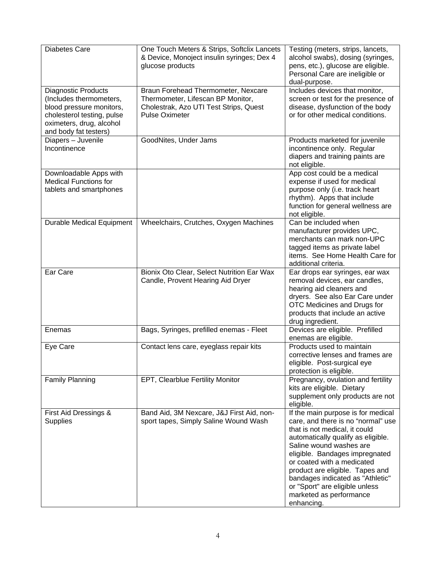| <b>Diabetes Care</b>                                                                                                                                                 | One Touch Meters & Strips, Softclix Lancets<br>& Device, Monoject insulin syringes; Dex 4<br>glucose products                               | Testing (meters, strips, lancets,<br>alcohol swabs), dosing (syringes,<br>pens, etc.), glucose are eligible.<br>Personal Care are ineligible or<br>dual-purpose.                                                                                                                                                                                                                             |
|----------------------------------------------------------------------------------------------------------------------------------------------------------------------|---------------------------------------------------------------------------------------------------------------------------------------------|----------------------------------------------------------------------------------------------------------------------------------------------------------------------------------------------------------------------------------------------------------------------------------------------------------------------------------------------------------------------------------------------|
| <b>Diagnostic Products</b><br>(Includes thermometers,<br>blood pressure monitors,<br>cholesterol testing, pulse<br>oximeters, drug, alcohol<br>and body fat testers) | Braun Forehead Thermometer, Nexcare<br>Thermometer, Lifescan BP Monitor,<br>Cholestrak, Azo UTI Test Strips, Quest<br><b>Pulse Oximeter</b> | Includes devices that monitor,<br>screen or test for the presence of<br>disease, dysfunction of the body<br>or for other medical conditions.                                                                                                                                                                                                                                                 |
| Diapers - Juvenile<br>Incontinence                                                                                                                                   | GoodNites, Under Jams                                                                                                                       | Products marketed for juvenile<br>incontinence only. Regular<br>diapers and training paints are<br>not eligible.                                                                                                                                                                                                                                                                             |
| Downloadable Apps with<br><b>Medical Functions for</b><br>tablets and smartphones                                                                                    |                                                                                                                                             | App cost could be a medical<br>expense if used for medical<br>purpose only (i.e. track heart<br>rhythm). Apps that include<br>function for general wellness are<br>not eligible.                                                                                                                                                                                                             |
| <b>Durable Medical Equipment</b>                                                                                                                                     | Wheelchairs, Crutches, Oxygen Machines                                                                                                      | Can be included when<br>manufacturer provides UPC,<br>merchants can mark non-UPC<br>tagged items as private label<br>items. See Home Health Care for<br>additional criteria.                                                                                                                                                                                                                 |
| Ear Care                                                                                                                                                             | Bionix Oto Clear, Select Nutrition Ear Wax<br>Candle, Provent Hearing Aid Dryer                                                             | Ear drops ear syringes, ear wax<br>removal devices, ear candles,<br>hearing aid cleaners and<br>dryers. See also Ear Care under<br>OTC Medicines and Drugs for<br>products that include an active<br>drug ingredient.                                                                                                                                                                        |
| Enemas                                                                                                                                                               | Bags, Syringes, prefilled enemas - Fleet                                                                                                    | Devices are eligible. Prefilled<br>enemas are eligible.                                                                                                                                                                                                                                                                                                                                      |
| Eye Care                                                                                                                                                             | Contact lens care, eyeglass repair kits                                                                                                     | Products used to maintain<br>corrective lenses and frames are<br>eligible. Post-surgical eye<br>protection is eligible.                                                                                                                                                                                                                                                                      |
| <b>Family Planning</b>                                                                                                                                               | EPT, Clearblue Fertility Monitor                                                                                                            | Pregnancy, ovulation and fertility<br>kits are eligible. Dietary<br>supplement only products are not<br>eligible.                                                                                                                                                                                                                                                                            |
| First Aid Dressings &<br><b>Supplies</b>                                                                                                                             | Band Aid, 3M Nexcare, J&J First Aid, non-<br>sport tapes, Simply Saline Wound Wash                                                          | If the main purpose is for medical<br>care, and there is no "normal" use<br>that is not medical, it could<br>automatically qualify as eligible.<br>Saline wound washes are<br>eligible. Bandages impregnated<br>or coated with a medicated<br>product are eligible. Tapes and<br>bandages indicated as "Athletic"<br>or "Sport" are eligible unless<br>marketed as performance<br>enhancing. |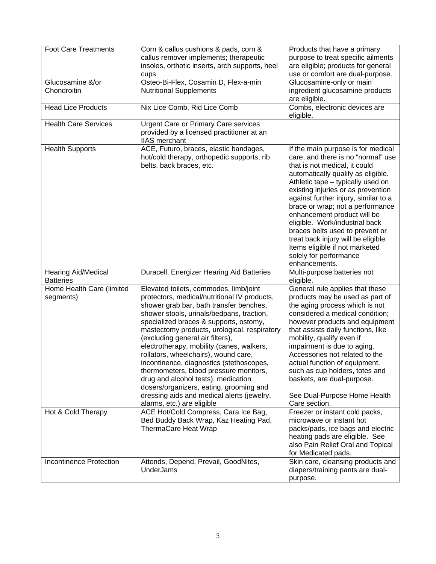| <b>Foot Care Treatments</b>                                  | Corn & callus cushions & pads, corn &<br>callus remover implements; therapeutic<br>insoles, orthotic inserts, arch supports, heel<br>cups                                                                                                                                                                                                                                                                                                                                                                                                                                                                                                                                                     | Products that have a primary<br>purpose to treat specific ailments<br>are eligible; products for general<br>use or comfort are dual-purpose.                                                                                                                                                                                                                                                                                                                                                                                   |
|--------------------------------------------------------------|-----------------------------------------------------------------------------------------------------------------------------------------------------------------------------------------------------------------------------------------------------------------------------------------------------------------------------------------------------------------------------------------------------------------------------------------------------------------------------------------------------------------------------------------------------------------------------------------------------------------------------------------------------------------------------------------------|--------------------------------------------------------------------------------------------------------------------------------------------------------------------------------------------------------------------------------------------------------------------------------------------------------------------------------------------------------------------------------------------------------------------------------------------------------------------------------------------------------------------------------|
| Glucosamine &/or<br>Chondroitin                              | Osteo-Bi-Flex, Cosamin D, Flex-a-min<br><b>Nutritional Supplements</b>                                                                                                                                                                                                                                                                                                                                                                                                                                                                                                                                                                                                                        | Glucosamine-only or main<br>ingredient glucosamine products<br>are eligible.                                                                                                                                                                                                                                                                                                                                                                                                                                                   |
| <b>Head Lice Products</b>                                    | Nix Lice Comb, Rid Lice Comb                                                                                                                                                                                                                                                                                                                                                                                                                                                                                                                                                                                                                                                                  | Combs, electronic devices are<br>eligible.                                                                                                                                                                                                                                                                                                                                                                                                                                                                                     |
| <b>Health Care Services</b>                                  | <b>Urgent Care or Primary Care services</b><br>provided by a licensed practitioner at an<br><b>IIAS</b> merchant                                                                                                                                                                                                                                                                                                                                                                                                                                                                                                                                                                              |                                                                                                                                                                                                                                                                                                                                                                                                                                                                                                                                |
| <b>Health Supports</b>                                       | ACE, Futuro, braces, elastic bandages,<br>hot/cold therapy, orthopedic supports, rib<br>belts, back braces, etc.                                                                                                                                                                                                                                                                                                                                                                                                                                                                                                                                                                              | If the main purpose is for medical<br>care, and there is no "normal" use<br>that is not medical, it could<br>automatically qualify as eligible.<br>Athletic tape – typically used on<br>existing injuries or as prevention<br>against further injury, similar to a<br>brace or wrap; not a performance<br>enhancement product will be<br>eligible. Work/industrial back<br>braces belts used to prevent or<br>treat back injury will be eligible.<br>Items eligible if not marketed<br>solely for performance<br>enhancements. |
| <b>Hearing Aid/Medical</b><br><b>Batteries</b>               | Duracell, Energizer Hearing Aid Batteries                                                                                                                                                                                                                                                                                                                                                                                                                                                                                                                                                                                                                                                     | Multi-purpose batteries not<br>eligible.                                                                                                                                                                                                                                                                                                                                                                                                                                                                                       |
| Home Health Care (limited<br>segments)<br>Hot & Cold Therapy | Elevated toilets, commodes, limb/joint<br>protectors, medical/nutritional IV products,<br>shower grab bar, bath transfer benches,<br>shower stools, urinals/bedpans, traction,<br>specialized braces & supports, ostomy,<br>mastectomy products, urological, respiratory<br>(excluding general air filters),<br>electrotherapy, mobility (canes, walkers,<br>rollators, wheelchairs), wound care,<br>incontinence, diagnostics (stethoscopes,<br>thermometers, blood pressure monitors,<br>drug and alcohol tests), medication<br>dosers/organizers, eating, grooming and<br>dressing aids and medical alerts (jewelry,<br>alarms, etc.) are eligible<br>ACE Hot/Cold Compress, Cara Ice Bag, | General rule applies that these<br>products may be used as part of<br>the aging process which is not<br>considered a medical condition;<br>however products and equipment<br>that assists daily functions, like<br>mobility, qualify even if<br>impairment is due to aging.<br>Accessories not related to the<br>actual function of equipment,<br>such as cup holders, totes and<br>baskets, are dual-purpose.<br>See Dual-Purpose Home Health<br>Care section.<br>Freezer or instant cold packs,                              |
|                                                              | Bed Buddy Back Wrap, Kaz Heating Pad,<br>ThermaCare Heat Wrap                                                                                                                                                                                                                                                                                                                                                                                                                                                                                                                                                                                                                                 | microwave or instant hot<br>packs/pads, ice bags and electric<br>heating pads are eligible. See<br>also Pain Relief Oral and Topical<br>for Medicated pads.                                                                                                                                                                                                                                                                                                                                                                    |
| <b>Incontinence Protection</b>                               | Attends, Depend, Prevail, GoodNites,<br>UnderJams                                                                                                                                                                                                                                                                                                                                                                                                                                                                                                                                                                                                                                             | Skin care, cleansing products and<br>diapers/training pants are dual-<br>purpose.                                                                                                                                                                                                                                                                                                                                                                                                                                              |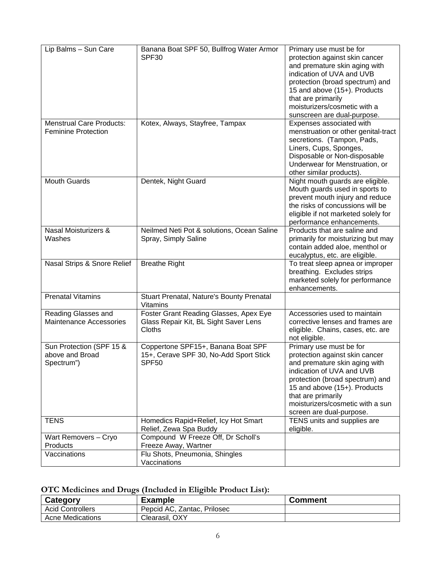| Lip Balms - Sun Care            | Banana Boat SPF 50, Bullfrog Water Armor<br>SPF30            | Primary use must be for<br>protection against skin cancer          |
|---------------------------------|--------------------------------------------------------------|--------------------------------------------------------------------|
|                                 |                                                              | and premature skin aging with<br>indication of UVA and UVB         |
|                                 |                                                              | protection (broad spectrum) and                                    |
|                                 |                                                              | 15 and above (15+). Products                                       |
|                                 |                                                              | that are primarily                                                 |
|                                 |                                                              | moisturizers/cosmetic with a                                       |
|                                 |                                                              | sunscreen are dual-purpose.                                        |
| <b>Menstrual Care Products:</b> | Kotex, Always, Stayfree, Tampax                              | Expenses associated with                                           |
| <b>Feminine Protection</b>      |                                                              | menstruation or other genital-tract                                |
|                                 |                                                              | secretions. (Tampon, Pads,<br>Liners, Cups, Sponges,               |
|                                 |                                                              | Disposable or Non-disposable                                       |
|                                 |                                                              | Underwear for Menstruation, or                                     |
|                                 |                                                              | other similar products).                                           |
| <b>Mouth Guards</b>             | Dentek, Night Guard                                          | Night mouth guards are eligible.                                   |
|                                 |                                                              | Mouth guards used in sports to                                     |
|                                 |                                                              | prevent mouth injury and reduce                                    |
|                                 |                                                              | the risks of concussions will be                                   |
|                                 |                                                              | eligible if not marketed solely for                                |
|                                 |                                                              | performance enhancements.                                          |
| Nasal Moisturizers &            | Neilmed Neti Pot & solutions, Ocean Saline                   | Products that are saline and                                       |
| Washes                          | Spray, Simply Saline                                         | primarily for moisturizing but may                                 |
|                                 |                                                              | contain added aloe, menthol or                                     |
| Nasal Strips & Snore Relief     | <b>Breathe Right</b>                                         | eucalyptus, etc. are eligible.<br>To treat sleep apnea or improper |
|                                 |                                                              | breathing. Excludes strips                                         |
|                                 |                                                              | marketed solely for performance                                    |
|                                 |                                                              | enhancements.                                                      |
| Prenatal Vitamins               | Stuart Prenatal, Nature's Bounty Prenatal<br><b>Vitamins</b> |                                                                    |
| Reading Glasses and             | Foster Grant Reading Glasses, Apex Eye                       | Accessories used to maintain                                       |
| Maintenance Accessories         | Glass Repair Kit, BL Sight Saver Lens                        | corrective lenses and frames are                                   |
|                                 | Cloths                                                       | eligible. Chains, cases, etc. are                                  |
|                                 |                                                              | not eligible.                                                      |
| Sun Protection (SPF 15 &        | Coppertone SPF15+, Banana Boat SPF                           | Primary use must be for                                            |
| above and Broad                 | 15+, Cerave SPF 30, No-Add Sport Stick                       | protection against skin cancer                                     |
| Spectrum")                      | SPF50                                                        | and premature skin aging with                                      |
|                                 |                                                              | indication of UVA and UVB                                          |
|                                 |                                                              | protection (broad spectrum) and                                    |
|                                 |                                                              | 15 and above (15+). Products<br>that are primarily                 |
|                                 |                                                              | moisturizers/cosmetic with a sun                                   |
|                                 |                                                              | screen are dual-purpose.                                           |
| <b>TENS</b>                     | Homedics Rapid+Relief, Icy Hot Smart                         | TENS units and supplies are                                        |
|                                 | Relief, Zewa Spa Buddy                                       | eligible.                                                          |
| Wart Removers - Cryo            | Compound W Freeze Off, Dr Scholl's                           |                                                                    |
| Products                        | Freeze Away, Wartner                                         |                                                                    |
| Vaccinations                    | Flu Shots, Pneumonia, Shingles                               |                                                                    |
|                                 | Vaccinations                                                 |                                                                    |

# **OTC Medicines and Drugs (Included in Eligible Product List):**

| Category                | <b>Example</b>              | <b>Comment</b> |
|-------------------------|-----------------------------|----------------|
| <b>Acid Controllers</b> | Pepcid AC, Zantac, Prilosec |                |
| <b>Acne Medications</b> | Clearasil, OXY              |                |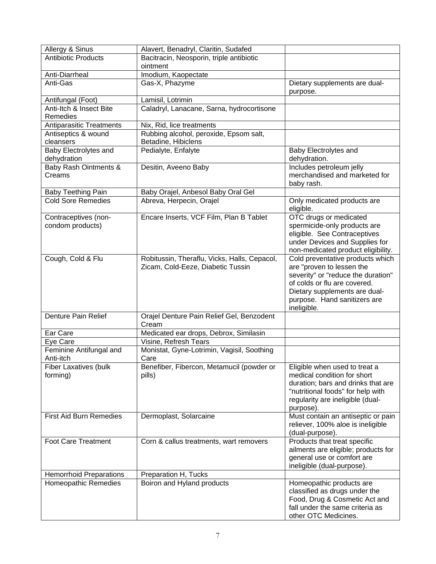| Allergy & Sinus                | Alavert, Benadryl, Claritin, Sudafed         |                                             |
|--------------------------------|----------------------------------------------|---------------------------------------------|
| <b>Antibiotic Products</b>     | Bacitracin, Neosporin, triple antibiotic     |                                             |
|                                | ointment                                     |                                             |
| Anti-Diarrheal                 | Imodium, Kaopectate                          |                                             |
| Anti-Gas                       | Gas-X, Phazyme                               | Dietary supplements are dual-               |
|                                |                                              | purpose.                                    |
| Antifungal (Foot)              | Lamisil, Lotrimin                            |                                             |
| Anti-Itch & Insect Bite        | Caladryl, Lanacane, Sarna, hydrocortisone    |                                             |
| Remedies                       |                                              |                                             |
| Antiparasitic Treatments       | Nix, Rid, lice treatments                    |                                             |
| Antiseptics & wound            | Rubbing alcohol, peroxide, Epsom salt,       |                                             |
| cleansers                      | Betadine, Hibiclens                          |                                             |
| Baby Electrolytes and          | Pedialyte, Enfalyte                          | Baby Electrolytes and                       |
| dehydration                    |                                              | dehydration.                                |
| Baby Rash Ointments &          | Desitin, Aveeno Baby                         | Includes petroleum jelly                    |
| Creams                         |                                              | merchandised and marketed for               |
|                                |                                              | baby rash.                                  |
| <b>Baby Teething Pain</b>      | Baby Orajel, Anbesol Baby Oral Gel           |                                             |
| <b>Cold Sore Remedies</b>      | Abreva, Herpecin, Orajel                     | Only medicated products are<br>eligible.    |
| Contraceptives (non-           | Encare Inserts, VCF Film, Plan B Tablet      | OTC drugs or medicated                      |
| condom products)               |                                              | spermicide-only products are                |
|                                |                                              | eligible. See Contraceptives                |
|                                |                                              | under Devices and Supplies for              |
|                                |                                              | non-medicated product eligibility.          |
| Cough, Cold & Flu              | Robitussin, Theraflu, Vicks, Halls, Cepacol, | Cold preventative products which            |
|                                | Zicam, Cold-Eeze, Diabetic Tussin            | are "proven to lessen the                   |
|                                |                                              | severity" or "reduce the duration"          |
|                                |                                              | of colds or flu are covered.                |
|                                |                                              | Dietary supplements are dual-               |
|                                |                                              | purpose. Hand sanitizers are<br>ineligible. |
| <b>Denture Pain Relief</b>     | Orajel Denture Pain Relief Gel, Benzodent    |                                             |
|                                | Cream                                        |                                             |
| Ear Care                       | Medicated ear drops, Debrox, Similasin       |                                             |
| Eye Care                       | Visine, Refresh Tears                        |                                             |
| Feminine Antifungal and        | Monistat, Gyne-Lotrimin, Vagisil, Soothing   |                                             |
| Anti-itch                      | Care                                         |                                             |
| <b>Fiber Laxatives (bulk</b>   | Benefiber, Fibercon, Metamucil (powder or    | Eligible when used to treat a               |
| forming)                       | pills)                                       | medical condition for short                 |
|                                |                                              | duration; bars and drinks that are          |
|                                |                                              | "nutritional foods" for help with           |
|                                |                                              | regularity are ineligible (dual-            |
|                                |                                              | purpose).                                   |
| <b>First Aid Burn Remedies</b> | Dermoplast, Solarcaine                       | Must contain an antiseptic or pain          |
|                                |                                              | reliever, 100% aloe is ineligible           |
|                                |                                              | (dual-purpose).                             |
| <b>Foot Care Treatment</b>     | Corn & callus treatments, wart removers      | Products that treat specific                |
|                                |                                              | ailments are eligible; products for         |
|                                |                                              | general use or comfort are                  |
|                                |                                              | ineligible (dual-purpose).                  |
| <b>Hemorrhoid Preparations</b> | Preparation H, Tucks                         |                                             |
| Homeopathic Remedies           | Boiron and Hyland products                   | Homeopathic products are                    |
|                                |                                              | classified as drugs under the               |
|                                |                                              | Food, Drug & Cosmetic Act and               |
|                                |                                              | fall under the same criteria as             |
|                                |                                              | other OTC Medicines.                        |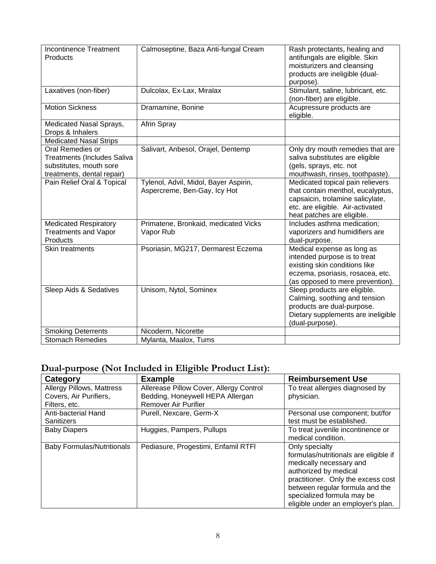| <b>Incontinence Treatment</b><br><b>Products</b>                                                                | Calmoseptine, Baza Anti-fungal Cream                                  | Rash protectants, healing and<br>antifungals are eligible. Skin<br>moisturizers and cleansing<br>products are ineligible (dual-<br>purpose).                                |
|-----------------------------------------------------------------------------------------------------------------|-----------------------------------------------------------------------|-----------------------------------------------------------------------------------------------------------------------------------------------------------------------------|
| Laxatives (non-fiber)                                                                                           | Dulcolax, Ex-Lax, Miralax                                             | Stimulant, saline, lubricant, etc.<br>(non-fiber) are eligible.                                                                                                             |
| <b>Motion Sickness</b>                                                                                          | Dramamine, Bonine                                                     | Acupressure products are<br>eligible.                                                                                                                                       |
| Medicated Nasal Sprays,<br>Drops & Inhalers                                                                     | Afrin Spray                                                           |                                                                                                                                                                             |
| <b>Medicated Nasal Strips</b>                                                                                   |                                                                       |                                                                                                                                                                             |
| Oral Remedies or<br><b>Treatments (Includes Saliva</b><br>substitutes, mouth sore<br>treatments, dental repair) | Salivart, Anbesol, Orajel, Dentemp                                    | Only dry mouth remedies that are<br>saliva substitutes are eligible<br>(gels, sprays, etc. not<br>mouthwash, rinses, toothpaste).                                           |
| Pain Relief Oral & Topical                                                                                      | Tylenol, Advil, Midol, Bayer Aspirin,<br>Aspercreme, Ben-Gay, Icy Hot | Medicated topical pain relievers<br>that contain menthol, eucalyptus,<br>capsaicin, trolamine salicylate,<br>etc. are eligible. Air-activated<br>heat patches are eligible. |
| <b>Medicated Respiratory</b><br><b>Treatments and Vapor</b><br>Products                                         | Primatene, Bronkaid, medicated Vicks<br>Vapor Rub                     | Includes asthma medication;<br>vaporizers and humidifiers are<br>dual-purpose.                                                                                              |
| Skin treatments                                                                                                 | Psoriasin, MG217, Dermarest Eczema                                    | Medical expense as long as<br>intended purpose is to treat<br>existing skin conditions like<br>eczema, psoriasis, rosacea, etc.<br>(as opposed to mere prevention).         |
| Sleep Aids & Sedatives                                                                                          | Unisom, Nytol, Sominex                                                | Sleep products are eligible.<br>Calming, soothing and tension<br>products are dual-purpose.<br>Dietary supplements are ineligible<br>(dual-purpose).                        |
| <b>Smoking Deterrents</b>                                                                                       | Nicoderm, Nicorette                                                   |                                                                                                                                                                             |
| <b>Stomach Remedies</b>                                                                                         | Mylanta, Maalox, Tums                                                 |                                                                                                                                                                             |

# **Dual-purpose (Not Included in Eligible Product List):**

| Category                          | <b>Example</b>                          | <b>Reimbursement Use</b>              |
|-----------------------------------|-----------------------------------------|---------------------------------------|
| Allergy Pillows, Mattress         | Allerease Pillow Cover, Allergy Control | To treat allergies diagnosed by       |
| Covers, Air Purifiers,            | Bedding, Honeywell HEPA Allergan        | physician.                            |
| Filters, etc.                     | <b>Remover Air Purifier</b>             |                                       |
| Anti-bacterial Hand               | Purell, Nexcare, Germ-X                 | Personal use component; but/for       |
| <b>Sanitizers</b>                 |                                         | test must be established.             |
| <b>Baby Diapers</b>               | Huggies, Pampers, Pullups               | To treat juvenile incontinence or     |
|                                   |                                         | medical condition.                    |
| <b>Baby Formulas/Nutritionals</b> | Pediasure, Progestimi, Enfamil RTFI     | Only specialty                        |
|                                   |                                         | formulas/nutritionals are eligible if |
|                                   |                                         | medically necessary and               |
|                                   |                                         | authorized by medical                 |
|                                   |                                         | practitioner. Only the excess cost    |
|                                   |                                         | between regular formula and the       |
|                                   |                                         | specialized formula may be            |
|                                   |                                         | eligible under an employer's plan.    |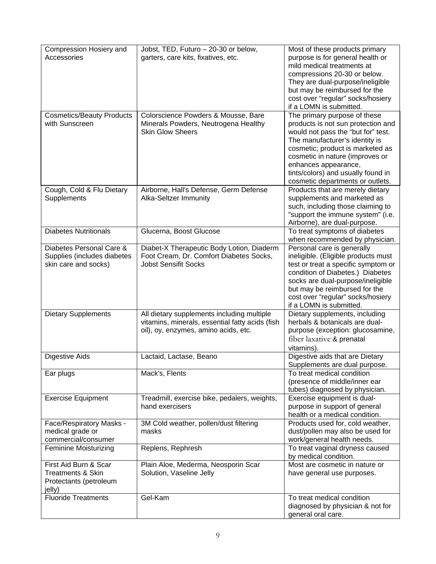| Compression Hosiery and          | Jobst, TED, Futuro - 20-30 or below,            | Most of these products primary                               |
|----------------------------------|-------------------------------------------------|--------------------------------------------------------------|
| Accessories                      | garters, care kits, fixatives, etc.             | purpose is for general health or                             |
|                                  |                                                 | mild medical treatments at                                   |
|                                  |                                                 | compressions 20-30 or below.                                 |
|                                  |                                                 | They are dual-purpose/ineligible                             |
|                                  |                                                 | but may be reimbursed for the                                |
|                                  |                                                 | cost over "regular" socks/hosiery                            |
|                                  |                                                 | if a LOMN is submitted.                                      |
| <b>Cosmetics/Beauty Products</b> | Colorscience Powders & Mousse, Bare             | The primary purpose of these                                 |
| with Sunscreen                   | Minerals Powders, Neutrogena Healthy            | products is not sun protection and                           |
|                                  | <b>Skin Glow Sheers</b>                         | would not pass the "but for" test.                           |
|                                  |                                                 | The manufacturer's identity is                               |
|                                  |                                                 | cosmetic; product is marketed as                             |
|                                  |                                                 | cosmetic in nature (improves or                              |
|                                  |                                                 | enhances appearance,                                         |
|                                  |                                                 | tints/colors) and usually found in                           |
|                                  |                                                 | cosmetic departments or outlets.                             |
| Cough, Cold & Flu Dietary        | Airborne, Hall's Defense, Germ Defense          | Products that are merely dietary                             |
| Supplements                      | Alka-Seltzer Immunity                           | supplements and marketed as                                  |
|                                  |                                                 | such, including those claiming to                            |
|                                  |                                                 | "support the immune system" (i.e.                            |
|                                  |                                                 | Airborne), are dual-purpose.                                 |
| <b>Diabetes Nutritionals</b>     | Glucerna, Boost Glucose                         | To treat symptoms of diabetes                                |
| Diabetes Personal Care &         | Diabet-X Therapeutic Body Lotion, Diaderm       | when recommended by physician.<br>Personal care is generally |
| Supplies (includes diabetes      | Foot Cream, Dr. Comfort Diabetes Socks,         | ineligible. (Eligible products must                          |
| skin care and socks)             | <b>Jobst Sensifit Socks</b>                     | test or treat a specific symptom or                          |
|                                  |                                                 | condition of Diabetes.) Diabetes                             |
|                                  |                                                 | socks are dual-purpose/ineligible                            |
|                                  |                                                 | but may be reimbursed for the                                |
|                                  |                                                 | cost over "regular" socks/hosiery                            |
|                                  |                                                 | if a LOMN is submitted.                                      |
| <b>Dietary Supplements</b>       | All dietary supplements including multiple      | Dietary supplements, including                               |
|                                  | vitamins, minerals, essential fatty acids (fish | herbals & botanicals are dual-                               |
|                                  | oil), oy, enzymes, amino acids, etc.            | purpose (exception: glucosamine,                             |
|                                  |                                                 | fiber laxative & prenatal                                    |
|                                  |                                                 | vitamins).                                                   |
| <b>Digestive Aids</b>            | Lactaid, Lactase, Beano                         | Digestive aids that are Dietary                              |
|                                  |                                                 | Supplements are dual purpose.                                |
| Ear plugs                        | Mack's, Flents                                  | To treat medical condition                                   |
|                                  |                                                 | (presence of middle/inner ear                                |
|                                  |                                                 | tubes) diagnosed by physician.                               |
| <b>Exercise Equipment</b>        | Treadmill, exercise bike, pedalers, weights,    | Exercise equipment is dual-                                  |
|                                  | hand exercisers                                 | purpose in support of general                                |
|                                  |                                                 | health or a medical condition.                               |
| Face/Respiratory Masks -         | 3M Cold weather, pollen/dust filtering          | Products used for, cold weather,                             |
| medical grade or                 | masks                                           | dust/pollen may also be used for                             |
| commercial/consumer              |                                                 | work/general health needs.                                   |
| <b>Feminine Moisturizing</b>     | Replens, Rephresh                               | To treat vaginal dryness caused<br>by medical condition.     |
| First Aid Burn & Scar            | Plain Aloe, Mederma, Neosporin Scar             | Most are cosmetic in nature or                               |
| <b>Treatments &amp; Skin</b>     | Solution, Vaseline Jelly                        | have general use purposes.                                   |
| Protectants (petroleum           |                                                 |                                                              |
| jelly)                           |                                                 |                                                              |
| <b>Fluoride Treatments</b>       | Gel-Kam                                         | To treat medical condition                                   |
|                                  |                                                 | diagnosed by physician & not for                             |
|                                  |                                                 | general oral care.                                           |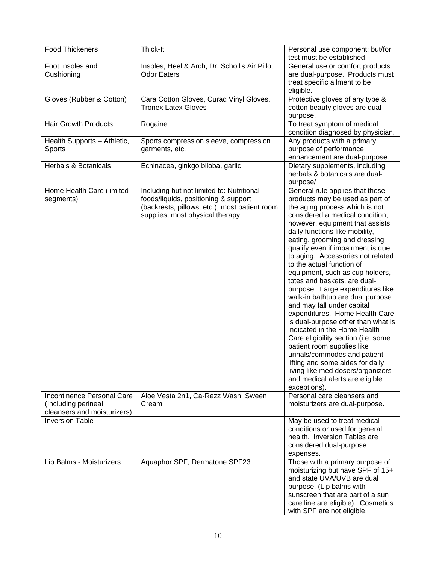| <b>Food Thickeners</b>                                                           | Thick-It                                                                                                                                                              | Personal use component; but/for<br>test must be established.                                                                                                                                                                                                                                                                                                                                                                                                                                                                                                                                                                                                                                                                                                                                                                                                           |
|----------------------------------------------------------------------------------|-----------------------------------------------------------------------------------------------------------------------------------------------------------------------|------------------------------------------------------------------------------------------------------------------------------------------------------------------------------------------------------------------------------------------------------------------------------------------------------------------------------------------------------------------------------------------------------------------------------------------------------------------------------------------------------------------------------------------------------------------------------------------------------------------------------------------------------------------------------------------------------------------------------------------------------------------------------------------------------------------------------------------------------------------------|
| Foot Insoles and<br>Cushioning                                                   | Insoles, Heel & Arch, Dr. Scholl's Air Pillo,<br><b>Odor Eaters</b>                                                                                                   | General use or comfort products<br>are dual-purpose. Products must<br>treat specific ailment to be<br>eligible.                                                                                                                                                                                                                                                                                                                                                                                                                                                                                                                                                                                                                                                                                                                                                        |
| Gloves (Rubber & Cotton)                                                         | Cara Cotton Gloves, Curad Vinyl Gloves,<br><b>Tronex Latex Gloves</b>                                                                                                 | Protective gloves of any type &<br>cotton beauty gloves are dual-<br>purpose.                                                                                                                                                                                                                                                                                                                                                                                                                                                                                                                                                                                                                                                                                                                                                                                          |
| <b>Hair Growth Products</b>                                                      | Rogaine                                                                                                                                                               | To treat symptom of medical<br>condition diagnosed by physician.                                                                                                                                                                                                                                                                                                                                                                                                                                                                                                                                                                                                                                                                                                                                                                                                       |
| Health Supports - Athletic,<br>Sports                                            | Sports compression sleeve, compression<br>garments, etc.                                                                                                              | Any products with a primary<br>purpose of performance<br>enhancement are dual-purpose.                                                                                                                                                                                                                                                                                                                                                                                                                                                                                                                                                                                                                                                                                                                                                                                 |
| <b>Herbals &amp; Botanicals</b>                                                  | Echinacea, ginkgo biloba, garlic                                                                                                                                      | Dietary supplements, including<br>herbals & botanicals are dual-<br>purpose/                                                                                                                                                                                                                                                                                                                                                                                                                                                                                                                                                                                                                                                                                                                                                                                           |
| Home Health Care (limited<br>segments)                                           | Including but not limited to: Nutritional<br>foods/liquids, positioning & support<br>(backrests, pillows, etc.), most patient room<br>supplies, most physical therapy | General rule applies that these<br>products may be used as part of<br>the aging process which is not<br>considered a medical condition;<br>however, equipment that assists<br>daily functions like mobility,<br>eating, grooming and dressing<br>qualify even if impairment is due<br>to aging. Accessories not related<br>to the actual function of<br>equipment, such as cup holders,<br>totes and baskets, are dual-<br>purpose. Large expenditures like<br>walk-in bathtub are dual purpose<br>and may fall under capital<br>expenditures. Home Health Care<br>is dual-purpose other than what is<br>indicated in the Home Health<br>Care eligibility section (i.e. some<br>patient room supplies like<br>urinals/commodes and patient<br>lifting and some aides for daily<br>living like med dosers/organizers<br>and medical alerts are eligible<br>exceptions). |
| Incontinence Personal Care<br>(Including perineal<br>cleansers and moisturizers) | Aloe Vesta 2n1, Ca-Rezz Wash, Sween<br>Cream                                                                                                                          | Personal care cleansers and<br>moisturizers are dual-purpose.                                                                                                                                                                                                                                                                                                                                                                                                                                                                                                                                                                                                                                                                                                                                                                                                          |
| <b>Inversion Table</b>                                                           |                                                                                                                                                                       | May be used to treat medical<br>conditions or used for general<br>health. Inversion Tables are<br>considered dual-purpose<br>expenses.                                                                                                                                                                                                                                                                                                                                                                                                                                                                                                                                                                                                                                                                                                                                 |
| Lip Balms - Moisturizers                                                         | Aquaphor SPF, Dermatone SPF23                                                                                                                                         | Those with a primary purpose of<br>moisturizing but have SPF of 15+<br>and state UVA/UVB are dual<br>purpose. (Lip balms with<br>sunscreen that are part of a sun<br>care line are eligible). Cosmetics<br>with SPF are not eligible.                                                                                                                                                                                                                                                                                                                                                                                                                                                                                                                                                                                                                                  |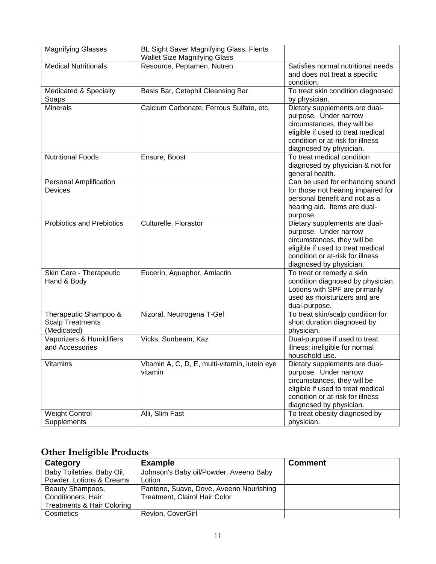| <b>Magnifying Glasses</b>                                       | BL Sight Saver Magnifying Glass, Flents<br><b>Wallet Size Magnifying Glass</b> |                                                                                                                                                                                           |
|-----------------------------------------------------------------|--------------------------------------------------------------------------------|-------------------------------------------------------------------------------------------------------------------------------------------------------------------------------------------|
| <b>Medical Nutritionals</b>                                     | Resource, Peptamen, Nutren                                                     | Satisfies normal nutritional needs<br>and does not treat a specific<br>condition.                                                                                                         |
| Medicated & Specialty<br>Soaps                                  | Basis Bar, Cetaphil Cleansing Bar                                              | To treat skin condition diagnosed<br>by physician.                                                                                                                                        |
| <b>Minerals</b>                                                 | Calcium Carbonate, Ferrous Sulfate, etc.                                       | Dietary supplements are dual-<br>purpose. Under narrow<br>circumstances, they will be<br>eligible if used to treat medical<br>condition or at-risk for illness<br>diagnosed by physician. |
| <b>Nutritional Foods</b>                                        | Ensure, Boost                                                                  | To treat medical condition<br>diagnosed by physician & not for<br>general health.                                                                                                         |
| Personal Amplification<br>Devices                               |                                                                                | Can be used for enhancing sound<br>for those not hearing impaired for<br>personal benefit and not as a<br>hearing aid. Items are dual-<br>purpose.                                        |
| <b>Probiotics and Prebiotics</b>                                | Culturelle, Florastor                                                          | Dietary supplements are dual-<br>purpose. Under narrow<br>circumstances, they will be<br>eligible if used to treat medical<br>condition or at-risk for illness<br>diagnosed by physician. |
| Skin Care - Therapeutic<br>Hand & Body                          | Eucerin, Aquaphor, Amlactin                                                    | To treat or remedy a skin<br>condition diagnosed by physician.<br>Lotions with SPF are primarily<br>used as moisturizers and are<br>dual-purpose.                                         |
| Therapeutic Shampoo &<br><b>Scalp Treatments</b><br>(Medicated) | Nizoral, Neutrogena T-Gel                                                      | To treat skin/scalp condition for<br>short duration diagnosed by<br>physician.                                                                                                            |
| Vaporizers & Humidifiers<br>and Accessories                     | Vicks, Sunbeam, Kaz                                                            | Dual-purpose if used to treat<br>illness; ineligible for normal<br>household use.                                                                                                         |
| Vitamins                                                        | Vitamin A, C, D, E, multi-vitamin, lutein eye<br>vitamin                       | Dietary supplements are dual-<br>purpose. Under narrow<br>circumstances, they will be<br>eligible if used to treat medical<br>condition or at-risk for illness<br>diagnosed by physician. |
| <b>Weight Control</b><br>Supplements                            | Alli, Slim Fast                                                                | To treat obesity diagnosed by<br>physician.                                                                                                                                               |

# **Other Ineligible Products**

| Category                              | <b>Example</b>                          | <b>Comment</b> |
|---------------------------------------|-----------------------------------------|----------------|
| Baby Toiletries, Baby Oil,            | Johnson's Baby oil/Powder, Aveeno Baby  |                |
| Powder, Lotions & Creams              | Lotion                                  |                |
| Beauty Shampoos,                      | Pantene, Suave, Dove, Aveeno Nourishing |                |
| Conditioners, Hair                    | Treatment, Clairol Hair Color           |                |
| <b>Treatments &amp; Hair Coloring</b> |                                         |                |
| Cosmetics                             | Revlon, CoverGirl                       |                |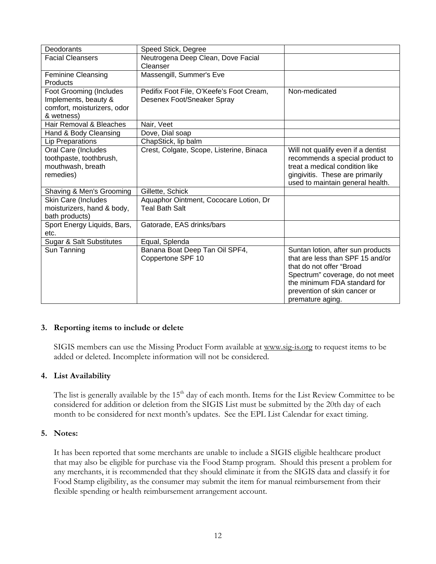| Deodorants                          | Speed Stick, Degree                      |                                    |
|-------------------------------------|------------------------------------------|------------------------------------|
| <b>Facial Cleansers</b>             | Neutrogena Deep Clean, Dove Facial       |                                    |
|                                     | Cleanser                                 |                                    |
| <b>Feminine Cleansing</b>           | Massengill, Summer's Eve                 |                                    |
| Products                            |                                          |                                    |
| <b>Foot Grooming (Includes</b>      | Pedifix Foot File, O'Keefe's Foot Cream, | Non-medicated                      |
| Implements, beauty &                | Desenex Foot/Sneaker Spray               |                                    |
| comfort, moisturizers, odor         |                                          |                                    |
| & wetness)                          |                                          |                                    |
| Hair Removal & Bleaches             | Nair, Veet                               |                                    |
| Hand & Body Cleansing               | Dove, Dial soap                          |                                    |
| <b>Lip Preparations</b>             | ChapStick, lip balm                      |                                    |
| Oral Care (Includes                 | Crest, Colgate, Scope, Listerine, Binaca | Will not qualify even if a dentist |
| toothpaste, toothbrush,             |                                          | recommends a special product to    |
| mouthwash, breath                   |                                          | treat a medical condition like     |
| remedies)                           |                                          | gingivitis. These are primarily    |
|                                     |                                          | used to maintain general health.   |
| Shaving & Men's Grooming            | Gillette, Schick                         |                                    |
| Skin Care (Includes                 | Aquaphor Ointment, Cococare Lotion, Dr   |                                    |
| moisturizers, hand & body,          | <b>Teal Bath Salt</b>                    |                                    |
| bath products)                      |                                          |                                    |
| Sport Energy Liquids, Bars,         | Gatorade, EAS drinks/bars                |                                    |
| etc.                                |                                          |                                    |
| <b>Sugar &amp; Salt Substitutes</b> | Equal, Splenda                           |                                    |
| Sun Tanning                         | Banana Boat Deep Tan Oil SPF4,           | Suntan lotion, after sun products  |
|                                     | Coppertone SPF 10                        | that are less than SPF 15 and/or   |
|                                     |                                          | that do not offer "Broad"          |
|                                     |                                          | Spectrum" coverage, do not meet    |
|                                     |                                          | the minimum FDA standard for       |
|                                     |                                          | prevention of skin cancer or       |
|                                     |                                          | premature aging.                   |

### **3. Reporting items to include or delete**

SIGIS members can use the Missing Product Form available at [www.sig-is.org](http://www.sig-is.org/) to request items to be added or deleted. Incomplete information will not be considered.

## **4. List Availability**

The list is generally available by the 15<sup>th</sup> day of each month. Items for the List Review Committee to be considered for addition or deletion from the SIGIS List must be submitted by the 20th day of each month to be considered for next month's updates. See the EPL List Calendar for exact timing.

### **5. Notes:**

It has been reported that some merchants are unable to include a SIGIS eligible healthcare product that may also be eligible for purchase via the Food Stamp program. Should this present a problem for any merchants, it is recommended that they should eliminate it from the SIGIS data and classify it for Food Stamp eligibility, as the consumer may submit the item for manual reimbursement from their flexible spending or health reimbursement arrangement account.